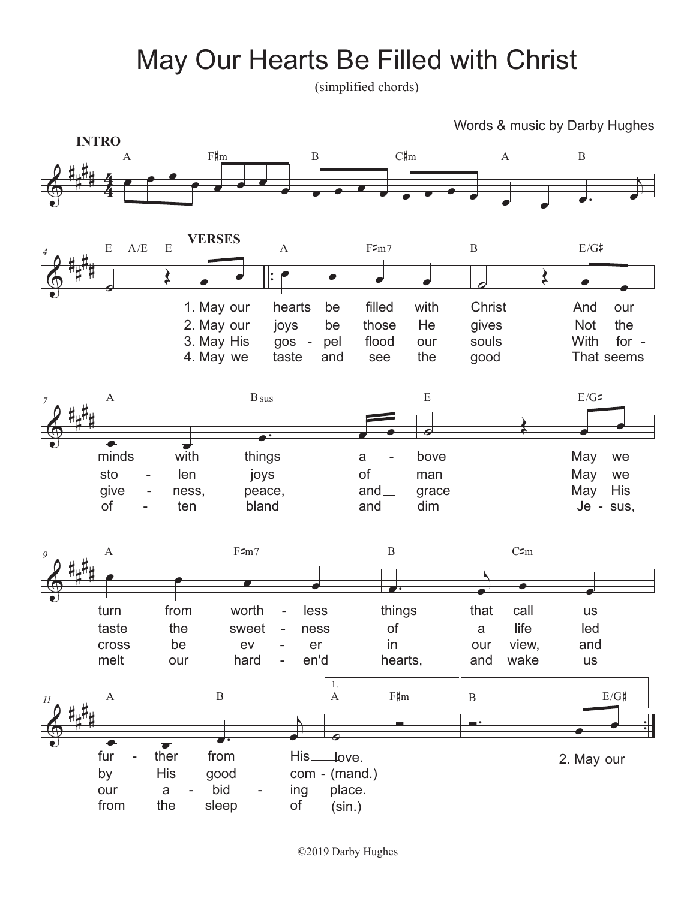## May Our Hearts Be Filled with Christ

(simplified chords)